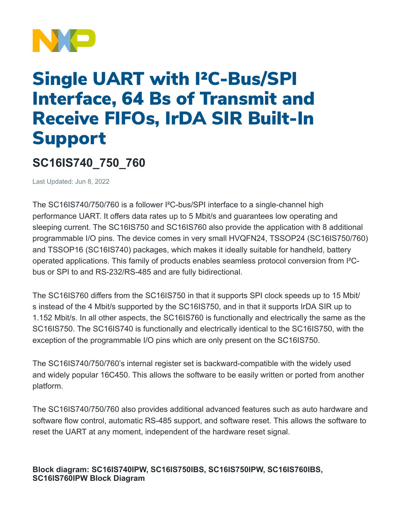

## Single UART with I²C-Bus/SPI Interface, 64 Bs of Transmit and Receive FIFOs, IrDA SIR Built-In Support

## **SC16IS740\_750\_760**

Last Updated: Jun 8, 2022

The SC16IS740/750/760 is a follower I²C-bus/SPI interface to a single-channel high performance UART. It offers data rates up to 5 Mbit/s and guarantees low operating and sleeping current. The SC16IS750 and SC16IS760 also provide the application with 8 additional programmable I/O pins. The device comes in very small HVQFN24, TSSOP24 (SC16IS750/760) and TSSOP16 (SC16IS740) packages, which makes it ideally suitable for handheld, battery operated applications. This family of products enables seamless protocol conversion from I²Cbus or SPI to and RS-232/RS-485 and are fully bidirectional.

The SC16IS760 differs from the SC16IS750 in that it supports SPI clock speeds up to 15 Mbit/ s instead of the 4 Mbit/s supported by the SC16IS750, and in that it supports IrDA SIR up to 1.152 Mbit/s. In all other aspects, the SC16IS760 is functionally and electrically the same as the SC16IS750. The SC16IS740 is functionally and electrically identical to the SC16IS750, with the exception of the programmable I/O pins which are only present on the SC16IS750.

The SC16IS740/750/760's internal register set is backward-compatible with the widely used and widely popular 16C450. This allows the software to be easily written or ported from another platform.

The SC16IS740/750/760 also provides additional advanced features such as auto hardware and software flow control, automatic RS-485 support, and software reset. This allows the software to reset the UART at any moment, independent of the hardware reset signal.

**Block diagram: SC16IS740IPW, SC16IS750IBS, SC16IS750IPW, SC16IS760IBS, SC16IS760IPW Block Diagram**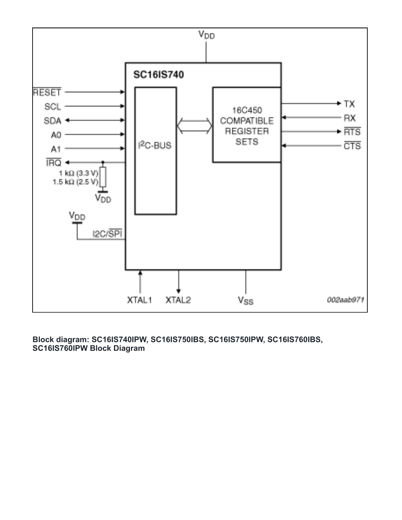

**Block diagram: SC16IS740IPW, SC16IS750IBS, SC16IS750IPW, SC16IS760IBS, SC16IS760IPW Block Diagram**